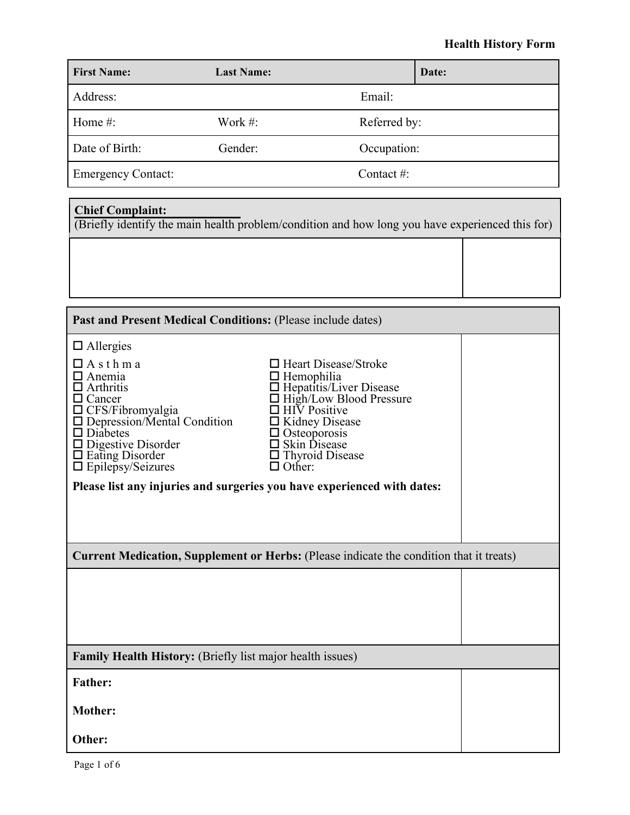### **Health History Form**

| <b>First Name:</b>        | <b>Last Name:</b> |               | Date: |
|---------------------------|-------------------|---------------|-------|
| Address:                  |                   | Email:        |       |
| Home $#$ :                | Work $#$ :        | Referred by:  |       |
| Date of Birth:            | Gender:           | Occupation:   |       |
| <b>Emergency Contact:</b> |                   | Contact $#$ : |       |

#### **Chief Complaint:**

(Briefly identify the main health problem/condition and how long you have experienced this for)

| Past and Present Medical Conditions: (Please include dates)                                                                                                                                                                                                                                                                         |                                                                                                                                                                                                                                                |  |  |
|-------------------------------------------------------------------------------------------------------------------------------------------------------------------------------------------------------------------------------------------------------------------------------------------------------------------------------------|------------------------------------------------------------------------------------------------------------------------------------------------------------------------------------------------------------------------------------------------|--|--|
| $\Box$ Allergies<br>$\Box$ A s t h m a<br>Anemia<br>Arthritis<br>$\Box$ Cancer<br>$\Box$ CFS/Fibromyalgia<br>$\Box$ Depression/Mental Condition<br>$\square$ Diabetes<br>$\Box$ Digestive Disorder<br>$\Box$ Eating Disorder<br>$\Box$ Epilepsy/Seizures<br>Please list any injuries and surgeries you have experienced with dates: | $\Box$ Heart Disease/Stroke<br>$\Box$ Hemophilia<br>□ Hepatitis/Liver Disease<br>□ High/Low Blood Pressure<br><b>HIV</b> Positive<br>$\Box$ Kidney Disease<br>$\Box$ Osteoporosis<br>□ Skin Disease<br>$\Box$ Thyroid Disease<br>$\Box$ Other: |  |  |
| <b>Current Medication, Supplement or Herbs:</b> (Please indicate the condition that it treats)                                                                                                                                                                                                                                      |                                                                                                                                                                                                                                                |  |  |
|                                                                                                                                                                                                                                                                                                                                     |                                                                                                                                                                                                                                                |  |  |
| <b>Family Health History:</b> (Briefly list major health issues)                                                                                                                                                                                                                                                                    |                                                                                                                                                                                                                                                |  |  |
| <b>Father:</b>                                                                                                                                                                                                                                                                                                                      |                                                                                                                                                                                                                                                |  |  |
| <b>Mother:</b>                                                                                                                                                                                                                                                                                                                      |                                                                                                                                                                                                                                                |  |  |
| Other:                                                                                                                                                                                                                                                                                                                              |                                                                                                                                                                                                                                                |  |  |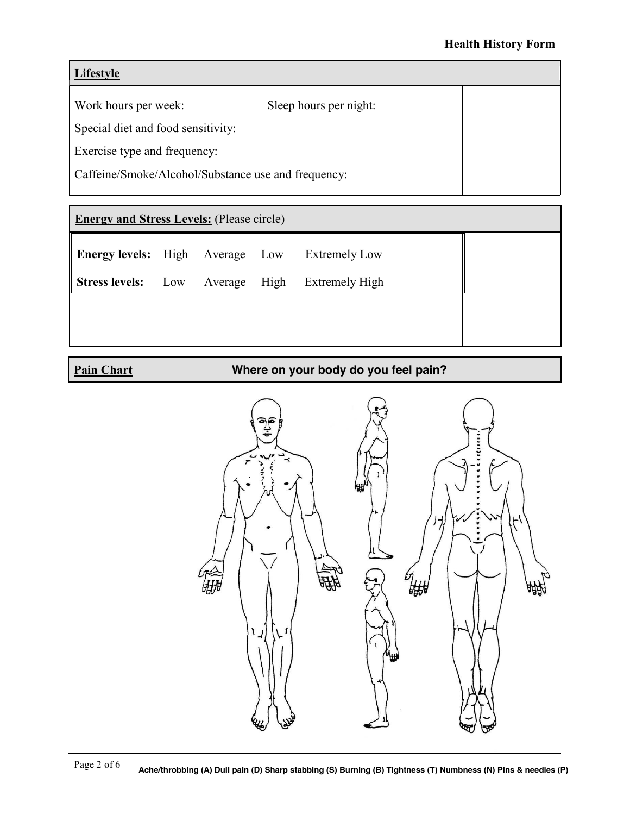### **Lifestyle**

Work hours per week: Sleep hours per night:

Special diet and food sensitivity:

Exercise type and frequency:

Caffeine/Smoke/Alcohol/Substance use and frequency:

## **Energy and Stress Levels:** (Please circle)

|  |  | <b>Energy levels:</b> High Average Low Extremely Low |
|--|--|------------------------------------------------------|
|  |  |                                                      |

**Stress levels:** Low Average High Extremely High

**Pain Chart**

**Where on your body do you feel pain?**

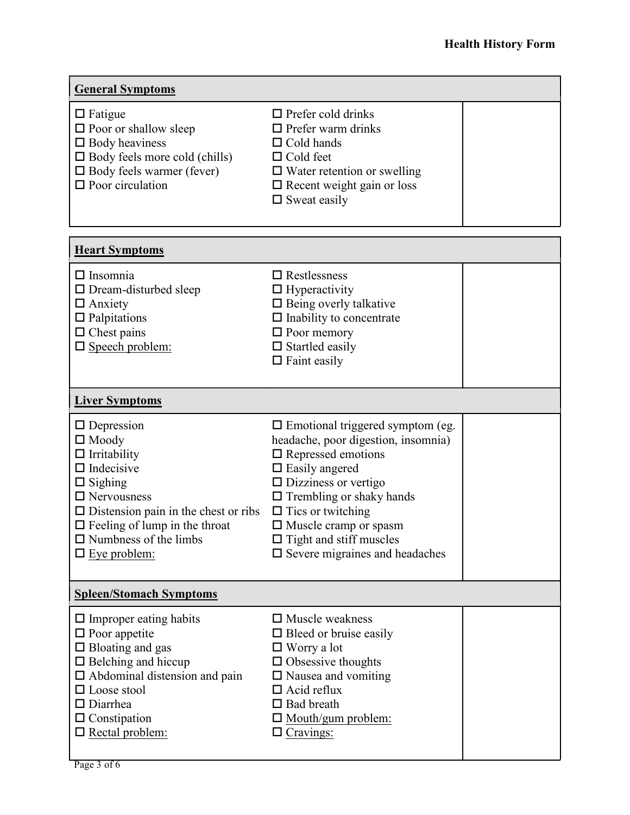| <b>General Symptoms</b>                                                                                                                                                                                                                                             |                                                                                                                                                                                                                                                                                                                                                        |  |  |
|---------------------------------------------------------------------------------------------------------------------------------------------------------------------------------------------------------------------------------------------------------------------|--------------------------------------------------------------------------------------------------------------------------------------------------------------------------------------------------------------------------------------------------------------------------------------------------------------------------------------------------------|--|--|
| $\Box$ Fatigue<br>$\square$ Poor or shallow sleep<br>$\Box$ Body heaviness<br>$\Box$ Body feels more cold (chills)<br>$\Box$ Body feels warmer (fever)<br>$\Box$ Poor circulation                                                                                   | $\Box$ Prefer cold drinks<br>$\Box$ Prefer warm drinks<br>$\Box$ Cold hands<br>$\Box$ Cold feet<br>$\Box$ Water retention or swelling<br>$\Box$ Recent weight gain or loss<br>$\Box$ Sweat easily                                                                                                                                                      |  |  |
| <b>Heart Symptoms</b>                                                                                                                                                                                                                                               |                                                                                                                                                                                                                                                                                                                                                        |  |  |
| $\Box$ Insomnia<br>$\Box$ Dream-disturbed sleep<br>$\Box$ Anxiety<br>$\Box$ Palpitations<br>$\Box$ Chest pains<br>$\square$ Speech problem:                                                                                                                         | $\Box$ Restlessness<br>$\Box$ Hyperactivity<br>$\Box$ Being overly talkative<br>$\Box$ Inability to concentrate<br>$\Box$ Poor memory<br>$\Box$ Startled easily<br>$\Box$ Faint easily                                                                                                                                                                 |  |  |
| <b>Liver Symptoms</b>                                                                                                                                                                                                                                               |                                                                                                                                                                                                                                                                                                                                                        |  |  |
| $\Box$ Depression<br>$\Box$ Moody<br>$\Box$ Irritability<br>$\Box$ Indecisive<br>$\Box$ Sighing<br>$\Box$ Nervousness<br>$\Box$ Distension pain in the chest or ribs<br>$\Box$ Feeling of lump in the throat<br>$\Box$ Numbness of the limbs<br>$\Box$ Eye problem: | $\Box$ Emotional triggered symptom (eg.<br>headache, poor digestion, insomnia)<br>$\square$ Repressed emotions<br>$\square$ Easily angered<br>$\Box$ Dizziness or vertigo<br>$\Box$ Trembling or shaky hands<br>$\Box$ Tics or twitching<br>$\Box$ Muscle cramp or spasm<br>$\Box$ Tight and stiff muscles<br>$\square$ Severe migraines and headaches |  |  |
| <b>Spleen/Stomach Symptoms</b>                                                                                                                                                                                                                                      |                                                                                                                                                                                                                                                                                                                                                        |  |  |
| $\Box$ Improper eating habits<br>$\square$ Poor appetite<br>$\Box$ Bloating and gas<br>$\Box$ Belching and hiccup<br>$\Box$ Abdominal distension and pain<br>$\Box$ Loose stool<br>$\square$ Diarrhea<br>$\Box$ Constipation<br>$\square$ Rectal problem:           | $\Box$ Muscle weakness<br>$\Box$ Bleed or bruise easily<br>$\Box$ Worry a lot<br>$\Box$ Obsessive thoughts<br>$\Box$ Nausea and vomiting<br>$\Box$ Acid reflux<br>$\Box$ Bad breath<br>$\Box$ Mouth/gum problem:<br>$\Box$ Cravings:                                                                                                                   |  |  |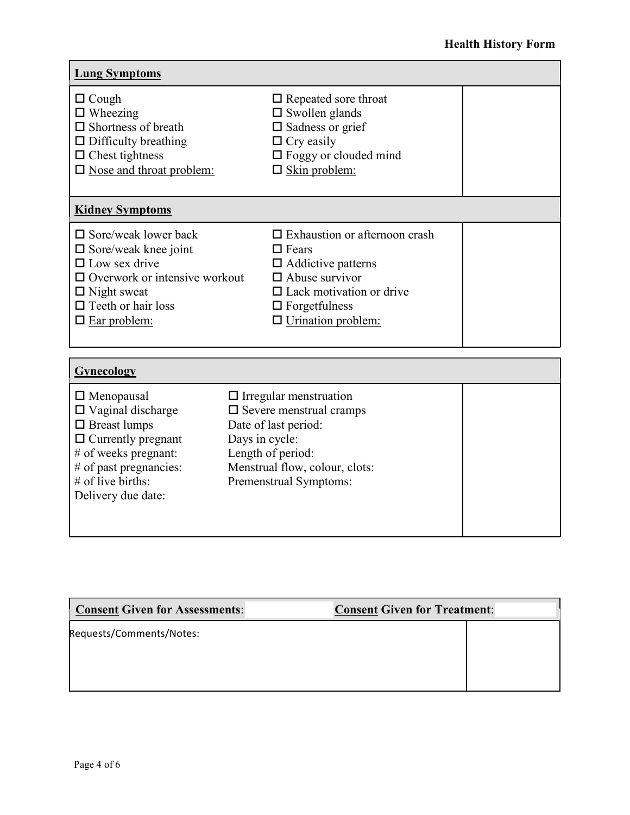| <b>Lung Symptoms</b>                                                                                                                                                                                       |                                                                                                                                                                                                    |  |  |
|------------------------------------------------------------------------------------------------------------------------------------------------------------------------------------------------------------|----------------------------------------------------------------------------------------------------------------------------------------------------------------------------------------------------|--|--|
| $\Box$ Cough<br>$\Box$ Wheezing<br>$\Box$ Shortness of breath<br>$\Box$ Difficulty breathing<br>$\Box$ Chest tightness<br>$\square$ Nose and throat problem:                                               | $\Box$ Repeated sore throat<br>$\square$ Swollen glands<br>$\square$ Sadness or grief<br>$\Box$ Cry easily<br>$\Box$ Foggy or clouded mind<br>$\Box$ Skin problem:                                 |  |  |
| <b>Kidney Symptoms</b>                                                                                                                                                                                     |                                                                                                                                                                                                    |  |  |
| $\square$ Sore/weak lower back<br>$\square$ Sore/weak knee joint<br>$\Box$ Low sex drive<br>$\Box$ Overwork or intensive workout<br>$\Box$ Night sweat<br>$\Box$ Teeth or hair loss<br>$\Box$ Ear problem: | $\Box$ Exhaustion or afternoon crash<br>$\Box$ Fears<br>$\Box$ Addictive patterns<br>$\Box$ Abuse survivor<br>$\Box$ Lack motivation or drive<br>$\Box$ Forgetfulness<br>$\Box$ Urination problem: |  |  |
| Gynecology                                                                                                                                                                                                 |                                                                                                                                                                                                    |  |  |
| $\Box$ Menopausal<br>$\Box$ Vaginal discharge<br>$\Box$ Breast lumps<br>$\Box$ Currently pregnant<br># of weeks pregnant:<br># of past pregnancies:<br>$#$ of live births:<br>Delivery due date:           | $\Box$ Irregular menstruation<br>$\square$ Severe menstrual cramps<br>Date of last period:<br>Days in cycle:<br>Length of period:<br>Menstrual flow, colour, clots:<br>Premenstrual Symptoms:      |  |  |

| Consent Given for Assessments: | <b>Consent Given for Treatment:</b> |
|--------------------------------|-------------------------------------|
| Requests/Comments/Notes:       |                                     |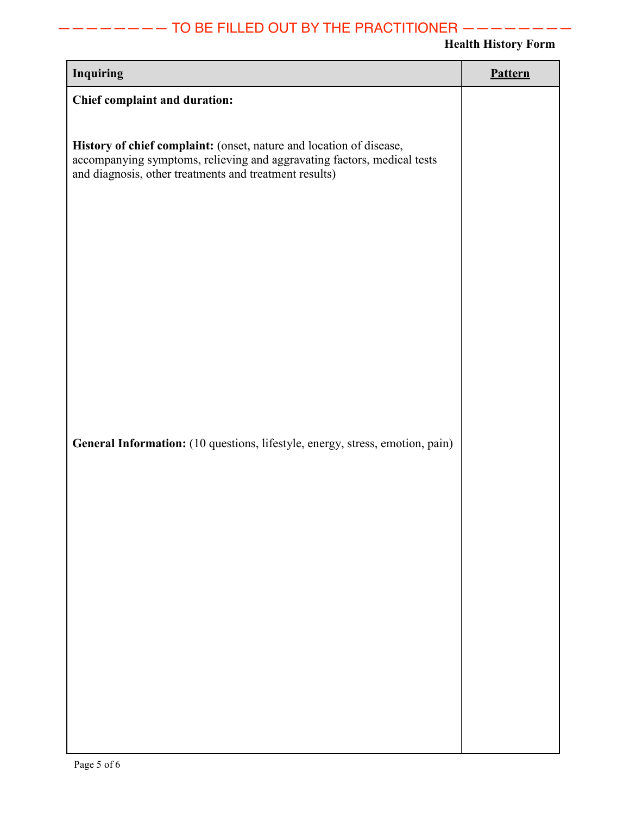# ———————— TO BE FILLED OUT BY THE PRACTITIONER ————————

### **Health History Form**

| <b>Inquiring</b>                                                                                                                                                                                         | Pattern |
|----------------------------------------------------------------------------------------------------------------------------------------------------------------------------------------------------------|---------|
| Chief complaint and duration:                                                                                                                                                                            |         |
| History of chief complaint: (onset, nature and location of disease,<br>accompanying symptoms, relieving and aggravating factors, medical tests<br>and diagnosis, other treatments and treatment results) |         |
| General Information: (10 questions, lifestyle, energy, stress, emotion, pain)                                                                                                                            |         |